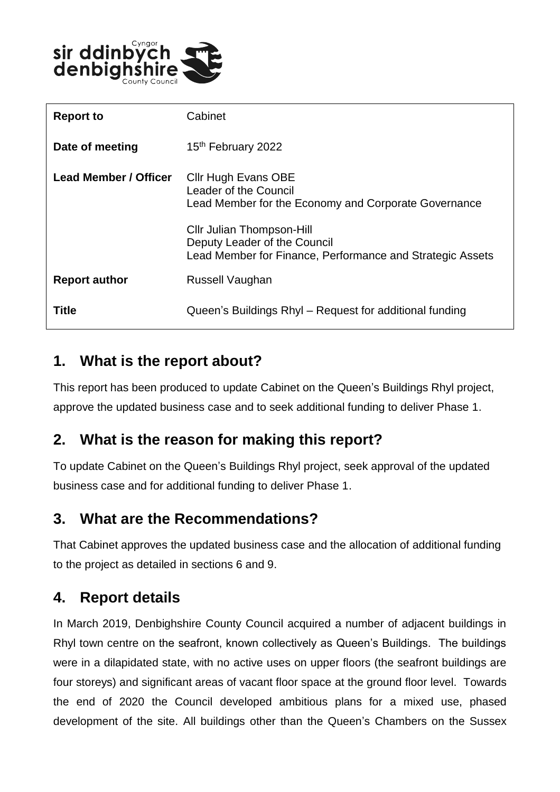

| <b>Report to</b>      | Cabinet                                                                                                                       |
|-----------------------|-------------------------------------------------------------------------------------------------------------------------------|
| Date of meeting       | 15 <sup>th</sup> February 2022                                                                                                |
| Lead Member / Officer | Cllr Hugh Evans OBE<br>Leader of the Council<br>Lead Member for the Economy and Corporate Governance                          |
|                       | <b>Cllr Julian Thompson-Hill</b><br>Deputy Leader of the Council<br>Lead Member for Finance, Performance and Strategic Assets |
| <b>Report author</b>  | Russell Vaughan                                                                                                               |
| Title                 | Queen's Buildings Rhyl – Request for additional funding                                                                       |

#### **1. What is the report about?**

This report has been produced to update Cabinet on the Queen's Buildings Rhyl project, approve the updated business case and to seek additional funding to deliver Phase 1.

# **2. What is the reason for making this report?**

To update Cabinet on the Queen's Buildings Rhyl project, seek approval of the updated business case and for additional funding to deliver Phase 1.

## **3. What are the Recommendations?**

That Cabinet approves the updated business case and the allocation of additional funding to the project as detailed in sections 6 and 9.

# **4. Report details**

In March 2019, Denbighshire County Council acquired a number of adjacent buildings in Rhyl town centre on the seafront, known collectively as Queen's Buildings. The buildings were in a dilapidated state, with no active uses on upper floors (the seafront buildings are four storeys) and significant areas of vacant floor space at the ground floor level. Towards the end of 2020 the Council developed ambitious plans for a mixed use, phased development of the site. All buildings other than the Queen's Chambers on the Sussex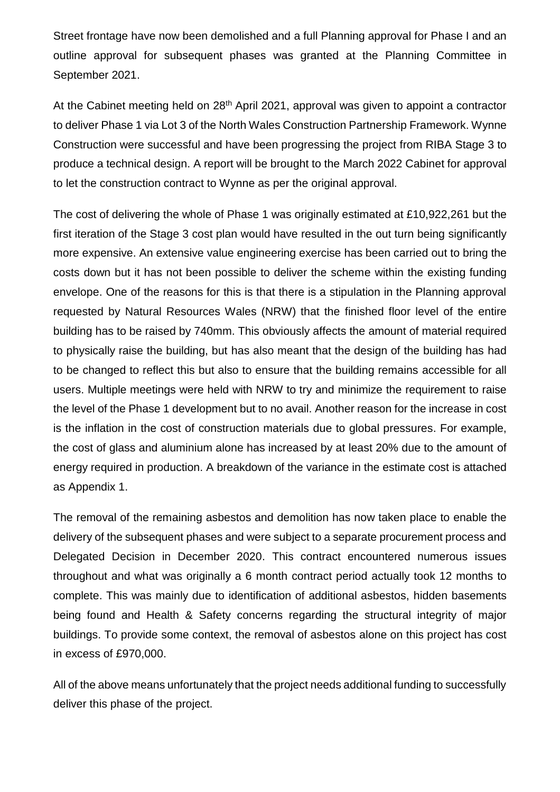Street frontage have now been demolished and a full Planning approval for Phase I and an outline approval for subsequent phases was granted at the Planning Committee in September 2021.

At the Cabinet meeting held on 28<sup>th</sup> April 2021, approval was given to appoint a contractor to deliver Phase 1 via Lot 3 of the North Wales Construction Partnership Framework. Wynne Construction were successful and have been progressing the project from RIBA Stage 3 to produce a technical design. A report will be brought to the March 2022 Cabinet for approval to let the construction contract to Wynne as per the original approval.

The cost of delivering the whole of Phase 1 was originally estimated at £10,922,261 but the first iteration of the Stage 3 cost plan would have resulted in the out turn being significantly more expensive. An extensive value engineering exercise has been carried out to bring the costs down but it has not been possible to deliver the scheme within the existing funding envelope. One of the reasons for this is that there is a stipulation in the Planning approval requested by Natural Resources Wales (NRW) that the finished floor level of the entire building has to be raised by 740mm. This obviously affects the amount of material required to physically raise the building, but has also meant that the design of the building has had to be changed to reflect this but also to ensure that the building remains accessible for all users. Multiple meetings were held with NRW to try and minimize the requirement to raise the level of the Phase 1 development but to no avail. Another reason for the increase in cost is the inflation in the cost of construction materials due to global pressures. For example, the cost of glass and aluminium alone has increased by at least 20% due to the amount of energy required in production. A breakdown of the variance in the estimate cost is attached as Appendix 1.

The removal of the remaining asbestos and demolition has now taken place to enable the delivery of the subsequent phases and were subject to a separate procurement process and Delegated Decision in December 2020. This contract encountered numerous issues throughout and what was originally a 6 month contract period actually took 12 months to complete. This was mainly due to identification of additional asbestos, hidden basements being found and Health & Safety concerns regarding the structural integrity of major buildings. To provide some context, the removal of asbestos alone on this project has cost in excess of £970,000.

All of the above means unfortunately that the project needs additional funding to successfully deliver this phase of the project.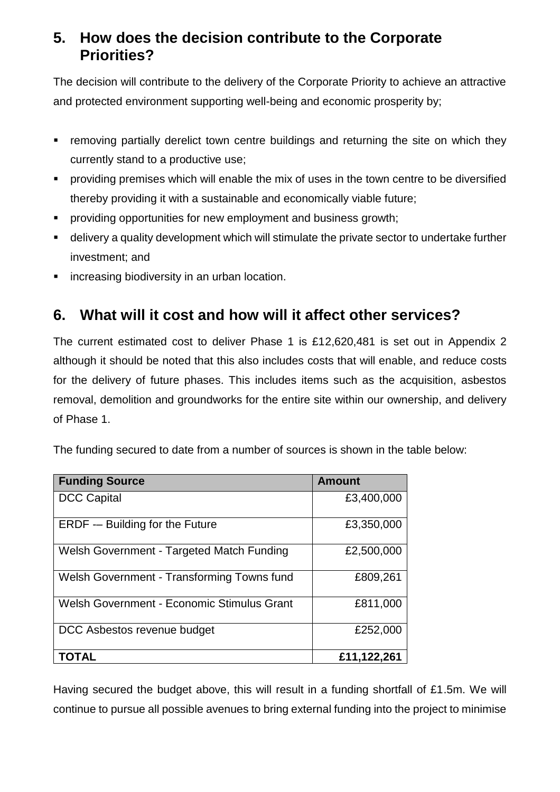## **5. How does the decision contribute to the Corporate Priorities?**

The decision will contribute to the delivery of the Corporate Priority to achieve an attractive and protected environment supporting well-being and economic prosperity by;

- **F** removing partially derelict town centre buildings and returning the site on which they currently stand to a productive use;
- **Peroviding premises which will enable the mix of uses in the town centre to be diversified** thereby providing it with a sustainable and economically viable future;
- **Peroviding opportunities for new employment and business growth;**
- delivery a quality development which will stimulate the private sector to undertake further investment; and
- **EXECTE:** increasing biodiversity in an urban location.

## **6. What will it cost and how will it affect other services?**

The current estimated cost to deliver Phase 1 is £12,620,481 is set out in Appendix 2 although it should be noted that this also includes costs that will enable, and reduce costs for the delivery of future phases. This includes items such as the acquisition, asbestos removal, demolition and groundworks for the entire site within our ownership, and delivery of Phase 1.

The funding secured to date from a number of sources is shown in the table below:

| <b>Funding Source</b>                      | <b>Amount</b> |
|--------------------------------------------|---------------|
| <b>DCC Capital</b>                         | £3,400,000    |
| <b>ERDF</b> - Building for the Future      | £3,350,000    |
| Welsh Government - Targeted Match Funding  | £2,500,000    |
| Welsh Government - Transforming Towns fund | £809,261      |
| Welsh Government - Economic Stimulus Grant | £811,000      |
| DCC Asbestos revenue budget                | £252,000      |
| TOTAL                                      | £11,122,261   |

Having secured the budget above, this will result in a funding shortfall of £1.5m. We will continue to pursue all possible avenues to bring external funding into the project to minimise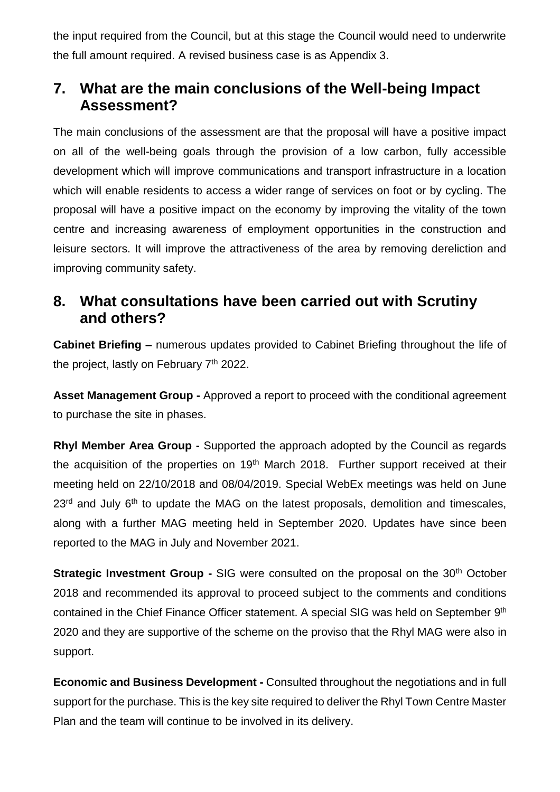the input required from the Council, but at this stage the Council would need to underwrite the full amount required. A revised business case is as Appendix 3.

#### **7. What are the main conclusions of the Well-being Impact Assessment?**

The main conclusions of the assessment are that the proposal will have a positive impact on all of the well-being goals through the provision of a low carbon, fully accessible development which will improve communications and transport infrastructure in a location which will enable residents to access a wider range of services on foot or by cycling. The proposal will have a positive impact on the economy by improving the vitality of the town centre and increasing awareness of employment opportunities in the construction and leisure sectors. It will improve the attractiveness of the area by removing dereliction and improving community safety.

#### **8. What consultations have been carried out with Scrutiny and others?**

**Cabinet Briefing –** numerous updates provided to Cabinet Briefing throughout the life of the project, lastly on February  $7<sup>th</sup>$  2022.

**Asset Management Group -** Approved a report to proceed with the conditional agreement to purchase the site in phases.

**Rhyl Member Area Group -** Supported the approach adopted by the Council as regards the acquisition of the properties on 19<sup>th</sup> March 2018. Further support received at their meeting held on 22/10/2018 and 08/04/2019. Special WebEx meetings was held on June  $23<sup>rd</sup>$  and July  $6<sup>th</sup>$  to update the MAG on the latest proposals, demolition and timescales, along with a further MAG meeting held in September 2020. Updates have since been reported to the MAG in July and November 2021.

**Strategic Investment Group -** SIG were consulted on the proposal on the 30<sup>th</sup> October 2018 and recommended its approval to proceed subject to the comments and conditions contained in the Chief Finance Officer statement. A special SIG was held on September 9<sup>th</sup> 2020 and they are supportive of the scheme on the proviso that the Rhyl MAG were also in support.

**Economic and Business Development -** Consulted throughout the negotiations and in full support for the purchase. This is the key site required to deliver the Rhyl Town Centre Master Plan and the team will continue to be involved in its delivery.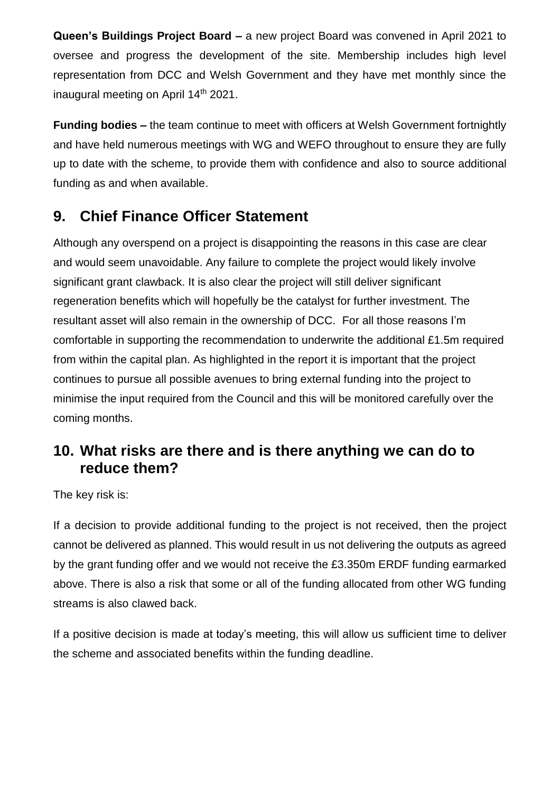**Queen's Buildings Project Board –** a new project Board was convened in April 2021 to oversee and progress the development of the site. Membership includes high level representation from DCC and Welsh Government and they have met monthly since the inaugural meeting on April 14<sup>th</sup> 2021.

**Funding bodies –** the team continue to meet with officers at Welsh Government fortnightly and have held numerous meetings with WG and WEFO throughout to ensure they are fully up to date with the scheme, to provide them with confidence and also to source additional funding as and when available.

## **9. Chief Finance Officer Statement**

Although any overspend on a project is disappointing the reasons in this case are clear and would seem unavoidable. Any failure to complete the project would likely involve significant grant clawback. It is also clear the project will still deliver significant regeneration benefits which will hopefully be the catalyst for further investment. The resultant asset will also remain in the ownership of DCC. For all those reasons I'm comfortable in supporting the recommendation to underwrite the additional £1.5m required from within the capital plan. As highlighted in the report it is important that the project continues to pursue all possible avenues to bring external funding into the project to minimise the input required from the Council and this will be monitored carefully over the coming months.

## **10. What risks are there and is there anything we can do to reduce them?**

The key risk is:

If a decision to provide additional funding to the project is not received, then the project cannot be delivered as planned. This would result in us not delivering the outputs as agreed by the grant funding offer and we would not receive the £3.350m ERDF funding earmarked above. There is also a risk that some or all of the funding allocated from other WG funding streams is also clawed back.

If a positive decision is made at today's meeting, this will allow us sufficient time to deliver the scheme and associated benefits within the funding deadline.